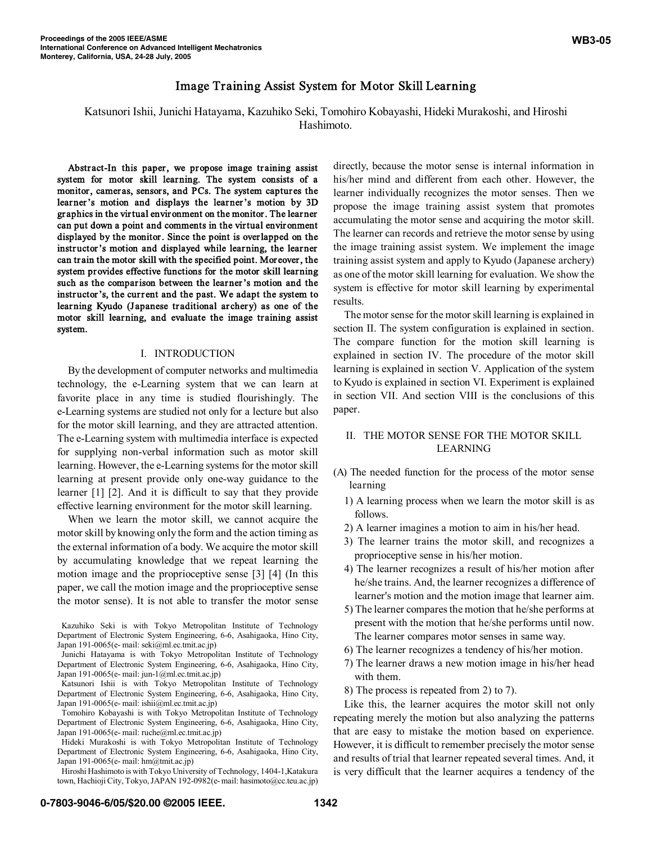Katsunori Ishii, Junichi Hatayama, Kazuhiko Seki, Tomohiro Kobayashi, Hideki Murakoshi, and Hiroshi Hashimoto.

Abstract-In this paper, we propose image training assist system for motor skill learning. The system consists of a monitor, cameras, sensors, and PCs. The system captures the learner's motion and displays the learner's motion by 3D gr aphics in the virtual environment on the monitor. The learner can put down a point and comments in the virtual environment displayed by the monitor. Since the point is overlapped on the instructor's motion and displayed while learning, the learner can train the motor skill with the specified point. Moreover, the system provides effective functions for the motor skill learning such as the comparison between the learner's motion and the instructor's, the current and the past. We adapt the system to learning Kyudo (Japanese traditional archery) as one of the motor skill learning, and evaluate the image training assist system.

#### I. INTRODUCTION

By the development of computer networks and multimedia technology, the e-Learning system that we can learn at favorite place in any time is studied flourishingly. The e-Learning systems are studied not only for a lecture but also for the motor skill learning, and they are attracted attention. The e-Learning system with multimedia interface is expected for supplying non-verbal information such as motor skill learning. However, the e-Learning systems for the motor skill learning at present provide only one-way guidance to the learner [1] [2]. And it is difficult to say that they provide effective learning environment for the motor skill learning.

When we learn the motor skill, we cannot acquire the motor skill by knowing only the form and the action timing as the external information of a body. We acquire the motor skill by accumulating knowledge that we repeat learning the motion image and the proprioceptive sense [3] [4] (In this paper, we call the motion image and the proprioceptive sense the motor sense). It is not able to transfer the motor sense

directly, because the motor sense is internal information in his/her mind and different from each other. However, the learner individually recognizes the motor senses. Then we propose the image training assist system that promotes accumulating the motor sense and acquiring the motor skill. The learner can records and retrieve the motor sense by using the image training assist system. We implement the image training assist system and apply to Kyudo (Japanese archery) as one of the motor skill learning for evaluation. We show the system is effective for motor skill learning by experimental results.

The motor sense for the motor skill learning is explained in section II. The system configuration is explained in section. The compare function for the motion skill learning is explained in section IV. The procedure of the motor skill learning is explained in section V. Application of the system to Kyudo is explained in section VI. Experiment is explained in section VII. And section VIII is the conclusions of this paper.

# II. THE MOTOR SENSE FOR THE MOTOR SKILL LEARNING

- (A) The needed function for the process of the motor sense learning
	- 1) A learning process when we learn the motor skill is as follows.
	- 2) A learner imagines a motion to aim in his/her head.
	- 3) The learner trains the motor skill, and recognizes a proprioceptive sense in his/her motion.
	- 4) The learner recognizes a result of his/her motion after he/she trains. And, the learner recognizes a difference of learner's motion and the motion image that learner aim.
	- 5) The learner compares the motion that he/she performs at present with the motion that he/she performs until now. The learner compares motor senses in same way.
	- 6) The learner recognizes a tendency of his/her motion.
	- 7) The learner draws a new motion image in his/her head with them.
	- 8) The process is repeated from 2) to 7).

Like this, the learner acquires the motor skill not only repeating merely the motion but also analyzing the patterns that are easy to mistake the motion based on experience. However, it is difficult to remember precisely the motor sense and results of trial that learner repeated several times. And, it is very difficult that the learner acquires a tendency of the

Kazuhiko Seki is with Tokyo Metropolitan Institute of Technology Department of Electronic System Engineering, 6-6, Asahigaoka, Hino City, Japan 191-0065(e- mail: seki@ml.ec.tmit.ac.jp)

Junichi Hatayama is with Tokyo Metropolitan Institute of Technology Department of Electronic System Engineering, 6-6, Asahigaoka, Hino City, Japan 191-0065(e- mail: jun-1@ml.ec.tmit.ac.jp)

Katsunori Ishii is with Tokyo Metropolitan Institute of Technology Department of Electronic System Engineering, 6-6, Asahigaoka, Hino City, Japan 191-0065(e- mail: ishii@ml.ec.tmit.ac.jp)

Tomohiro Kobayashi is with Tokyo Metropolitan Institute of Technology Department of Electronic System Engineering, 6-6, Asahigaoka, Hino City, Japan 191-0065(e- mail: ruche@ml.ec.tmit.ac.jp)

Hideki Murakoshi is with Tokyo Metropolitan Institute of Technology Department of Electronic System Engineering, 6-6, Asahigaoka, Hino City, Japan 191-0065(e- mail: hm@tmit.ac.jp)

Hiroshi Hashimoto is with Tokyo University of Technology, 1404-1,Katakura town, Hachioji City, Tokyo, JAPAN 192-0982(e- mail: hasimoto@cc.teu.ac.jp)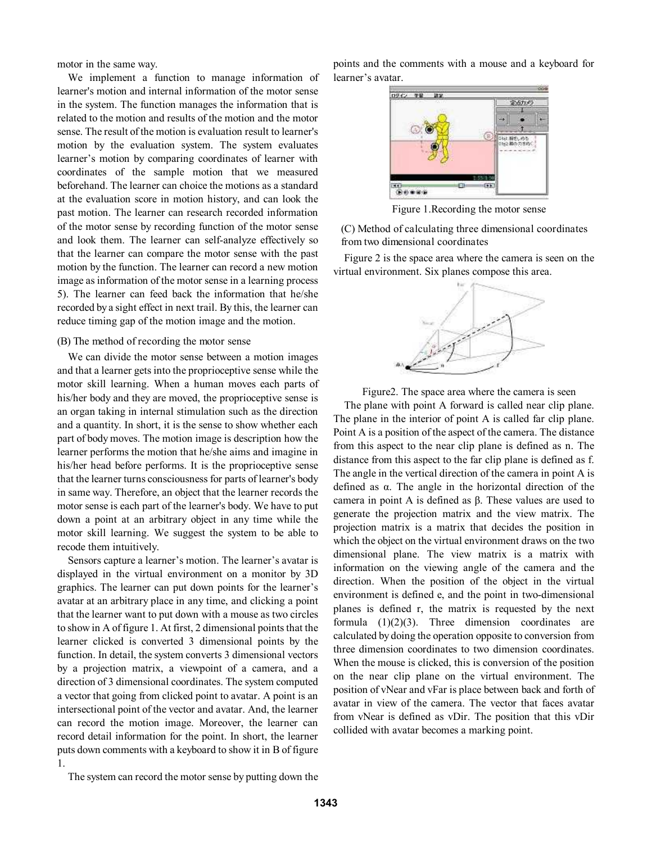motor in the same way.

We implement a function to manage information of learner's motion and internal information of the motor sense in the system. The function manages the information that is related to the motion and results of the motion and the motor sense. The result of the motion is evaluation result to learner's motion by the evaluation system. The system evaluates learner's motion by comparing coordinates of learner with coordinates of the sample motion that we measured beforehand. The learner can choice the motions as a standard at the evaluation score in motion history, and can look the past motion. The learner can research recorded information of the motor sense by recording function of the motor sense and look them. The learner can self-analyze effectively so that the learner can compare the motor sense with the past motion by the function. The learner can record a new motion image as information of the motor sense in a learning process 5). The learner can feed back the information that he/she recorded by a sight effect in next trail. By this, the learner can reduce timing gap of the motion image and the motion.

### (B) The method of recording the motor sense

We can divide the motor sense between a motion images and that a learner gets into the proprioceptive sense while the motor skill learning. When a human moves each parts of his/her body and they are moved, the proprioceptive sense is an organ taking in internal stimulation such as the direction and a quantity. In short, it is the sense to show whether each part of body moves. The motion image is description how the learner performs the motion that he/she aims and imagine in his/her head before performs. It is the proprioceptive sense that the learner turns consciousness for parts of learner's body in same way. Therefore, an object that the learner records the motor sense is each part of the learner's body. We have to put down a point at an arbitrary object in any time while the motor skill learning. We suggest the system to be able to recode them intuitively.

Sensors capture a learner's motion. The learner's avatar is displayed in the virtual environment on a monitor by 3D graphics. The learner can put down points for the learner's avatar at an arbitrary place in any time, and clicking a point that the learner want to put down with a mouse as two circles to show in A of figure 1. At first, 2 dimensional points that the learner clicked is converted 3 dimensional points by the function. In detail, the system converts 3 dimensional vectors by a projection matrix, a viewpoint of a camera, and a direction of 3 dimensional coordinates. The system computed a vector that going from clicked point to avatar. A point is an intersectional point of the vector and avatar. And, the learner can record the motion image. Moreover, the learner can record detail information for the point. In short, the learner puts down comments with a keyboard to show it in B of figure 1.

points and the comments with a mouse and a keyboard for learner's avatar.



Figure 1.Recording the motor sense

(C) Method of calculating three dimensional coordinates from two dimensional coordinates

Figure 2 is the space area where the camera is seen on the virtual environment. Six planes compose this area.



Figure2. The space area where the camera is seen

The plane with point A forward is called near clip plane. The plane in the interior of point A is called far clip plane. Point A is a position of the aspect of the camera. The distance from this aspect to the near clip plane is defined as n. The distance from this aspect to the far clip plane is defined as f. The angle in the vertical direction of the camera in point A is defined as  $\alpha$ . The angle in the horizontal direction of the camera in point A is defined as  $\beta$ . These values are used to generate the projection matrix and the view matrix. The projection matrix is a matrix that decides the position in which the object on the virtual environment draws on the two dimensional plane. The view matrix is a matrix with information on the viewing angle of the camera and the direction. When the position of the object in the virtual environment is defined e, and the point in two-dimensional planes is defined r, the matrix is requested by the next formula  $(1)(2)(3)$ . Three dimension coordinates are calculated by doing the operation opposite to conversion from three dimension coordinates to two dimension coordinates. When the mouse is clicked, this is conversion of the position on the near clip plane on the virtual environment. The position of vNear and vFar is place between back and forth of avatar in view of the camera. The vector that faces avatar from vNear is defined as vDir. The position that this vDir collided with avatar becomes a marking point.

The system can record the motor sense by putting down the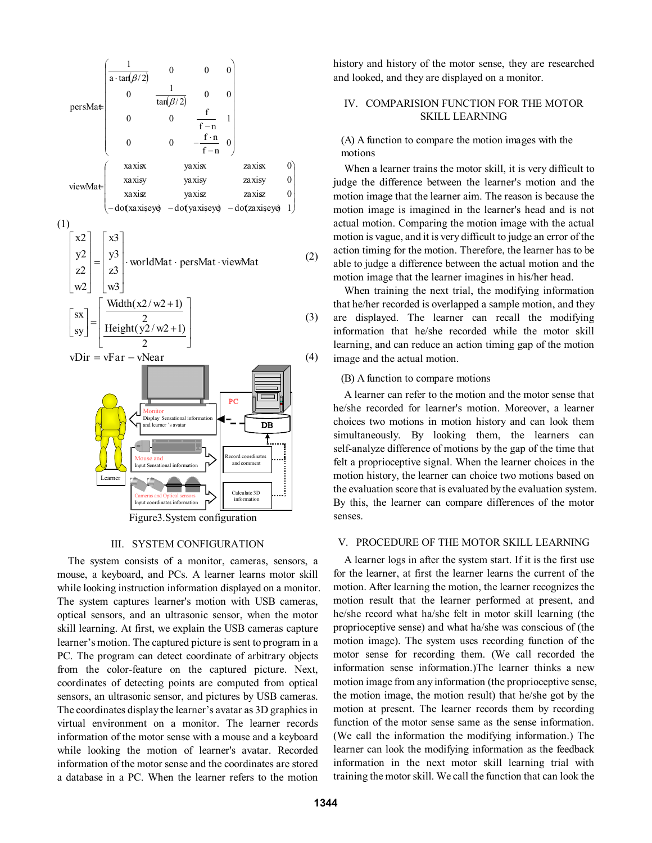

Figure3.System configuration

### III. SYSTEM CONFIGURATION

The system consists of a monitor, cameras, sensors, a mouse, a keyboard, and PCs. A learner learns motor skill while looking instruction information displayed on a monitor. The system captures learner's motion with USB cameras, optical sensors, and an ultrasonic sensor, when the motor skill learning. At first, we explain the USB cameras capture learner's motion. The captured picture is sent to program in a PC. The program can detect coordinate of arbitrary objects from the color-feature on the captured picture. Next, coordinates of detecting points are computed from optical sensors, an ultrasonic sensor, and pictures by USB cameras. The coordinates display the learner's avatar as 3D graphics in virtual environment on a monitor. The learner records information of the motor sense with a mouse and a keyboard while looking the motion of learner's avatar. Recorded information of the motor sense and the coordinates are stored a database in a PC. When the learner refers to the motion

history and history of the motor sense, they are researched and looked, and they are displayed on a monitor.

# IV. COMPARISION FUNCTION FOR THE MOTOR SKILL LEARNING

(A) A function to compare the motion images with the motions

When a learner trains the motor skill, it is very difficult to judge the difference between the learner's motion and the motion image that the learner aim. The reason is because the motion image is imagined in the learner's head and is not actual motion. Comparing the motion image with the actual motion is vague, and it is very difficult to judge an error of the action timing for the motion. Therefore, the learner has to be able to judge a difference between the actual motion and the motion image that the learner imagines in his/her head.

When training the next trial, the modifying information that he/her recorded is overlapped a sample motion, and they are displayed. The learner can recall the modifying information that he/she recorded while the motor skill learning, and can reduce an action timing gap of the motion image and the actual motion.

#### (B) A function to compare motions

A learner can refer to the motion and the motor sense that he/she recorded for learner's motion. Moreover, a learner choices two motions in motion history and can look them simultaneously. By looking them, the learners can self-analyze difference of motions by the gap of the time that felt a proprioceptive signal. When the learner choices in the motion history, the learner can choice two motions based on the evaluation score that is evaluated by the evaluation system. By this, the learner can compare differences of the motor senses.

### V. PROCEDURE OF THE MOTOR SKILL LEARNING

A learner logs in after the system start. If it is the first use for the learner, at first the learner learns the current of the motion. After learning the motion, the learner recognizes the motion result that the learner performed at present, and he/she record what ha/she felt in motor skill learning (the proprioceptive sense) and what ha/she was conscious of (the motion image). The system uses recording function of the motor sense for recording them. (We call recorded the information sense information.)The learner thinks a new motion image from any information (the proprioceptive sense, the motion image, the motion result) that he/she got by the motion at present. The learner records them by recording function of the motor sense same as the sense information. (We call the information the modifying information.) The learner can look the modifying information as the feedback information in the next motor skill learning trial with training the motor skill. We call the function that can look the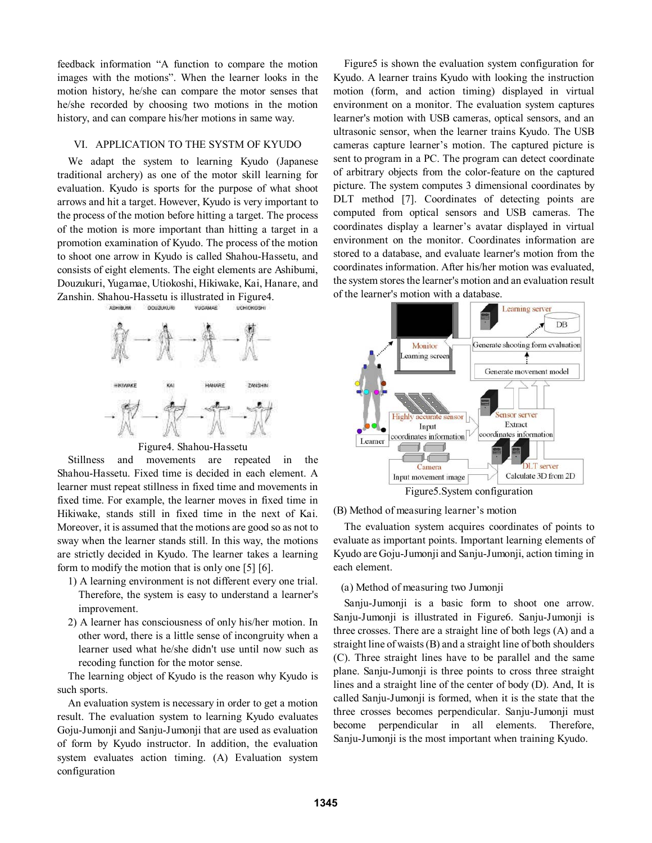feedback information "A function to compare the motion images with the motions". When the learner looks in the motion history, he/she can compare the motor senses that he/she recorded by choosing two motions in the motion history, and can compare his/her motions in same way.

## VI. APPLICATION TO THE SYSTM OF KYUDO

We adapt the system to learning Kyudo (Japanese traditional archery) as one of the motor skill learning for evaluation. Kyudo is sports for the purpose of what shoot arrows and hit a target. However, Kyudo is very important to the process of the motion before hitting a target. The process of the motion is more important than hitting a target in a promotion examination of Kyudo. The process of the motion to shoot one arrow in Kyudo is called Shahou-Hassetu, and consists of eight elements. The eight elements are Ashibumi, Douzukuri, Yugamae, Utiokoshi, Hikiwake, Kai, Hanare, and Zanshin. Shahou-Hassetu is illustrated in Figure4. ASHIBUM **OQUZUKURI YUCAMAR** UCHOKOSHI



Figure4. Shahou-Hassetu

Stillness and movements are repeated in the Shahou-Hassetu. Fixed time is decided in each element. A learner must repeat stillness in fixed time and movements in fixed time. For example, the learner moves in fixed time in Hikiwake, stands still in fixed time in the next of Kai. Moreover, it is assumed that the motions are good so as not to sway when the learner stands still. In this way, the motions are strictly decided in Kyudo. The learner takes a learning form to modify the motion that is only one [5] [6].

- 1) A learning environment is not different every one trial. Therefore, the system is easy to understand a learner's improvement.
- 2) A learner has consciousness of only his/her motion. In other word, there is a little sense of incongruity when a learner used what he/she didn't use until now such as recoding function for the motor sense.

The learning object of Kyudo is the reason why Kyudo is such sports.

An evaluation system is necessary in order to get a motion result. The evaluation system to learning Kyudo evaluates Goju-Jumonji and Sanju-Jumonji that are used as evaluation of form by Kyudo instructor. In addition, the evaluation system evaluates action timing. (A) Evaluation system configuration

Figure5 is shown the evaluation system configuration for Kyudo. A learner trains Kyudo with looking the instruction motion (form, and action timing) displayed in virtual environment on a monitor. The evaluation system captures learner's motion with USB cameras, optical sensors, and an ultrasonic sensor, when the learner trains Kyudo. The USB cameras capture learner's motion. The captured picture is sent to program in a PC. The program can detect coordinate of arbitrary objects from the color-feature on the captured picture. The system computes 3 dimensional coordinates by DLT method [7]. Coordinates of detecting points are computed from optical sensors and USB cameras. The coordinates display a learner's avatar displayed in virtual environment on the monitor. Coordinates information are stored to a database, and evaluate learner's motion from the coordinates information. After his/her motion was evaluated, the system stores the learner's motion and an evaluation result of the learner's motion with a database.



(B) Method of measuring learner's motion

The evaluation system acquires coordinates of points to evaluate as important points. Important learning elements of Kyudo are Goju-Jumonji and Sanju-Jumonji, action timing in each element.

(a) Method of measuring two Jumonji

Sanju-Jumonji is a basic form to shoot one arrow. Sanju-Jumonji is illustrated in Figure6. Sanju-Jumonji is three crosses. There are a straight line of both legs (A) and a straight line of waists (B) and a straight line of both shoulders (C). Three straight lines have to be parallel and the same plane. Sanju-Jumonji is three points to cross three straight lines and a straight line of the center of body (D). And, It is called Sanju-Jumonji is formed, when it is the state that the three crosses becomes perpendicular. Sanju-Jumonji must become perpendicular in all elements. Therefore, Sanju-Jumonji is the most important when training Kyudo.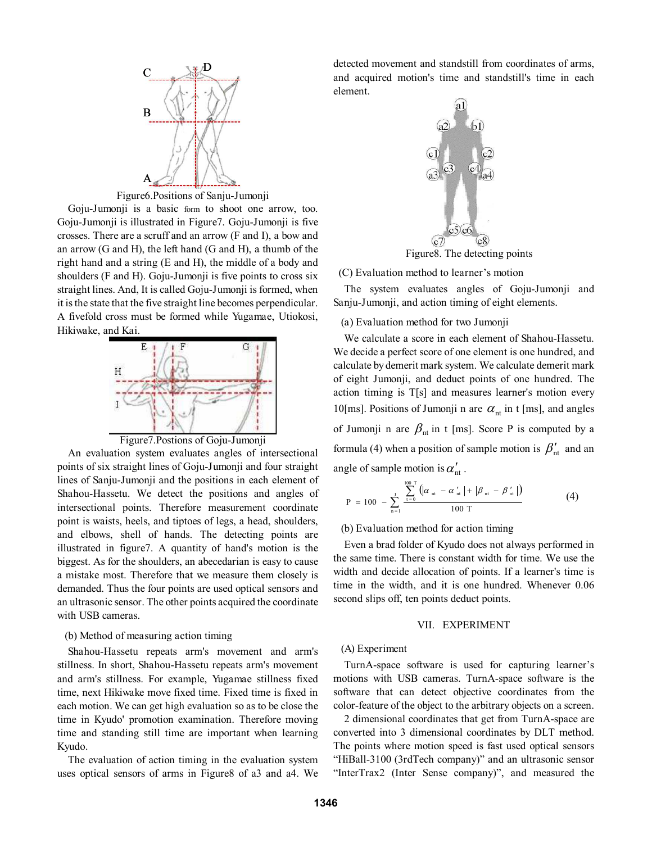

Figure6.Positions of Sanju-Jumonji

Goju-Jumonji is a basic form to shoot one arrow, too. Goju-Jumonji is illustrated in Figure7. Goju-Jumonji is five crosses. There are a scruff and an arrow (F and I), a bow and an arrow (G and H), the left hand (G and H), a thumb of the right hand and a string (E and H), the middle of a body and shoulders (F and H). Goju-Jumonji is five points to cross six straight lines. And, It is called Goju-Jumonji is formed, when it is the state that the five straight line becomes perpendicular. A fivefold cross must be formed while Yugamae, Utiokosi, Hikiwake, and Kai.



Figure7.Postions of Goju-Jumonji

An evaluation system evaluates angles of intersectional points of six straight lines of Goju-Jumonji and four straight lines of Sanju-Jumonji and the positions in each element of Shahou-Hassetu. We detect the positions and angles of intersectional points. Therefore measurement coordinate point is waists, heels, and tiptoes of legs, a head, shoulders, and elbows, shell of hands. The detecting points are illustrated in figure7. A quantity of hand's motion is the biggest. As for the shoulders, an abecedarian is easy to cause a mistake most. Therefore that we measure them closely is demanded. Thus the four points are used optical sensors and an ultrasonic sensor. The other points acquired the coordinate with USB cameras.

## (b) Method of measuring action timing

Shahou-Hassetu repeats arm's movement and arm's stillness. In short, Shahou-Hassetu repeats arm's movement and arm's stillness. For example, Yugamae stillness fixed time, next Hikiwake move fixed time. Fixed time is fixed in each motion. We can get high evaluation so as to be close the time in Kyudo' promotion examination. Therefore moving time and standing still time are important when learning Kyudo.

The evaluation of action timing in the evaluation system uses optical sensors of arms in Figure8 of a3 and a4. We detected movement and standstill from coordinates of arms, and acquired motion's time and standstill's time in each element.



Figure8. The detecting points

## $(C)$  Evaluation method to learner's motion

The system evaluates angles of Goju-Jumonji and Sanju-Jumonji, and action timing of eight elements.

(a) Evaluation method for two Jumonji

We calculate a score in each element of Shahou-Hassetu. We decide a perfect score of one element is one hundred, and calculate by demerit mark system. We calculate demerit mark of eight Jumonji, and deduct points of one hundred. The action timing is T[s] and measures learner's motion every 10[ms]. Positions of Jumonji n are  $\alpha_{nt}$  in t [ms], and angles of Jumonji n are  $\beta_{nt}$  in t [ms]. Score P is computed by a formula (4) when a position of sample motion is  $\beta'_{nt}$  and an angle of sample motion is  $\alpha'_{nt}$ .

$$
P = 100 - \sum_{n=1}^{J} \frac{\sum_{t=0}^{100 T} (|\alpha_{nt} - \alpha_{nt}'| + |\beta_{nt} - \beta_{nt}'|)}{100 T}
$$
(4)

#### (b) Evaluation method for action timing

Even a brad folder of Kyudo does not always performed in the same time. There is constant width for time. We use the width and decide allocation of points. If a learner's time is time in the width, and it is one hundred. Whenever 0.06 second slips off, ten points deduct points.

# VII. EXPERIMENT

### (A) Experiment

TurnA-space software is used for capturing learner's motions with USB cameras. TurnA-space software is the software that can detect objective coordinates from the color-feature of the object to the arbitrary objects on a screen.

2 dimensional coordinates that get from TurnA-space are converted into 3 dimensional coordinates by DLT method. The points where motion speed is fast used optical sensors "HiBall-3100 (3rdTech company)" and an ultrasonic sensor "InterTrax2 (Inter Sense company)", and measured the